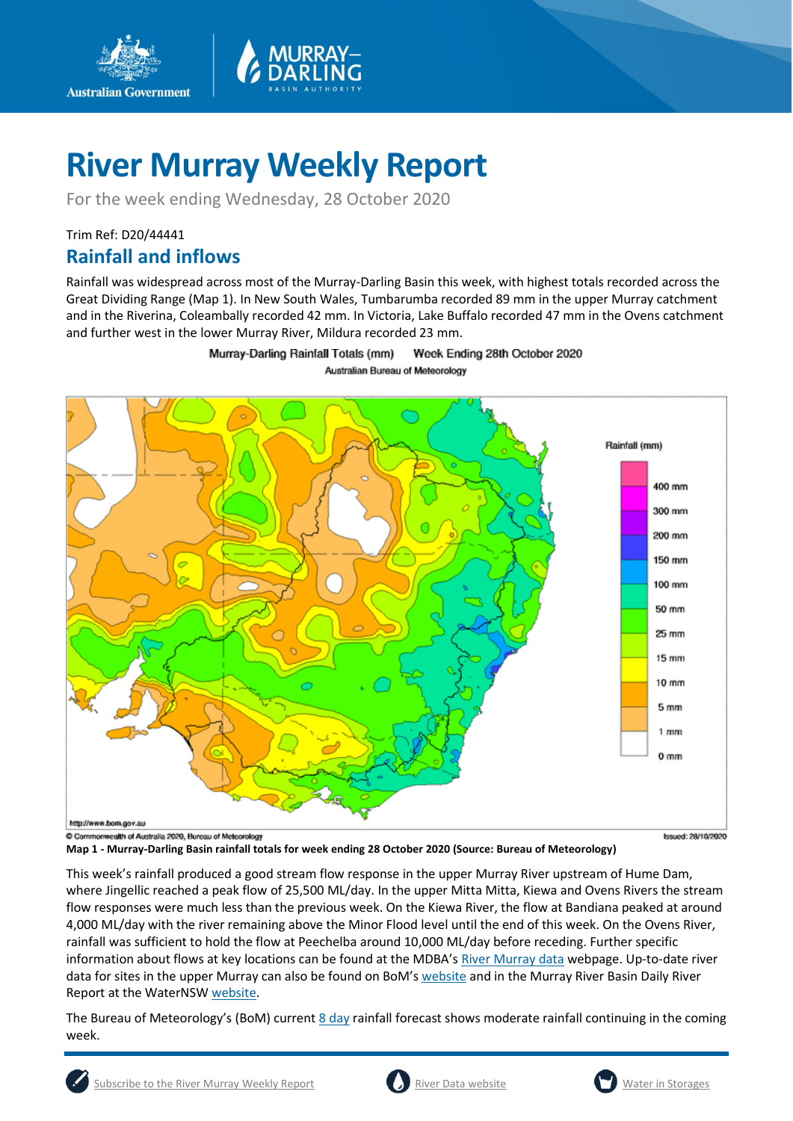

For the week ending Wednesday, 28 October 2020

## Trim Ref: D20/44441 **Rainfall and inflows**

**Australian Government** 

Rainfall was widespread across most of the Murray-Darling Basin this week, with highest totals recorded across the Great Dividing Range (Map 1). In New South Wales, Tumbarumba recorded 89 mm in the upper Murray catchment and in the Riverina, Coleambally recorded 42 mm. In Victoria, Lake Buffalo recorded 47 mm in the Ovens catchment and further west in the lower Murray River, Mildura recorded 23 mm.

> Murray-Darling Rainfall Totals (mm) Week Ending 28th October 2020 Australian Bureau of Meteorology



**Map 1 - Murray-Darling Basin rainfall totals for week ending 28 October 2020 (Source: Bureau of Meteorology)** 

This week's rainfall produced a good stream flow response in the upper Murray River upstream of Hume Dam, where Jingellic reached a peak flow of 25,500 ML/day. In the upper Mitta Mitta, Kiewa and Ovens Rivers the stream flow responses were much less than the previous week. On the Kiewa River, the flow at Bandiana peaked at around 4,000 ML/day with the river remaining above the Minor Flood level until the end of this week. On the Ovens River, rainfall was sufficient to hold the flow at Peechelba around 10,000 ML/day before receding. Further specific information about flows at key locations can be found at the MDBA's [River Murray data](https://riverdata.mdba.gov.au/system-view) webpage. Up-to-date river data for sites in the upper Murray can also be found on BoM's [website](http://www.bom.gov.au/cgi-bin/wrap_fwo.pl?IDV60151.html) and in the Murray River Basin Daily River Report at the WaterNSW [website.](https://realtimedata.waternsw.com.au/water.stm)

The Bureau of Meteorology's (BoM) current  $8 \text{ day}$  rainfall forecast shows moderate rainfall continuing in the coming week.



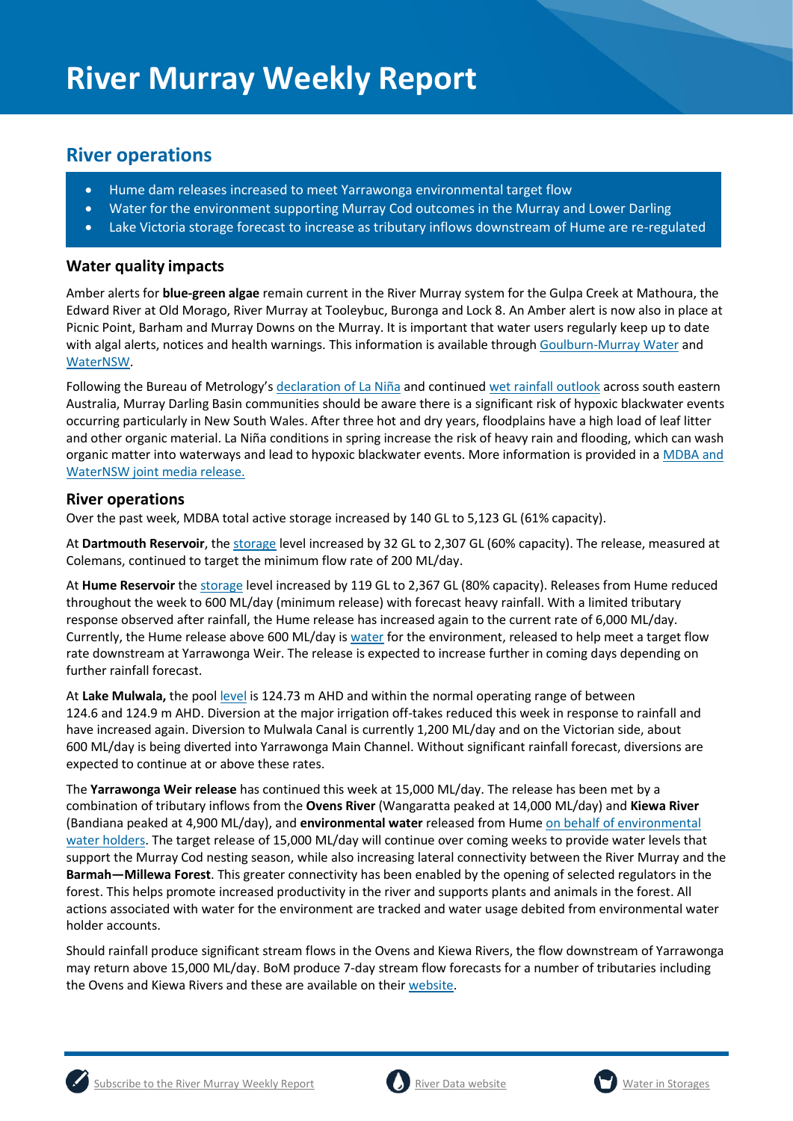## **River operations**

- Hume dam releases increased to meet Yarrawonga environmental target flow
- Water for the environment supporting Murray Cod outcomes in the Murray and Lower Darling
- Lake Victoria storage forecast to increase as tributary inflows downstream of Hume are re-regulated

## **Water quality impacts**

Amber alerts for **blue-green algae** remain current in the River Murray system for the Gulpa Creek at Mathoura, the Edward River at Old Morago, River Murray at Tooleybuc, Buronga and Lock 8. An Amber alert is now also in place at Picnic Point, Barham and Murray Downs on the Murray. It is important that water users regularly keep up to date with algal alerts, notices and health warnings. This information is available throug[h Goulburn-Murray Water](https://www.g-mwater.com.au/news/bga) and [WaterNSW.](https://www.waternsw.com.au/water-quality/algae)

Following the Bureau of Metrology's [declaration of La Niña](http://www.bom.gov.au/climate/enso/) and continued [wet rainfall outlook](http://www.bom.gov.au/climate/outlooks/#/rainfall/summary) across south eastern Australia, Murray Darling Basin communities should be aware there is a significant risk of hypoxic blackwater events occurring particularly in New South Wales. After three hot and dry years, floodplains have a high load of leaf litter and other organic material. La Niña conditions in spring increase the risk of heavy rain and flooding, which can wash organic matter into waterways and lead to hypoxic blackwater events. More information is provided in [a MDBA and](https://www.mdba.gov.au/media/mr/joint-mdba-nsw-media-release-welcome-spring-rains-bring-heightened-risk-blackwater-lachlan)  [WaterNSW joint media release.](https://www.mdba.gov.au/media/mr/joint-mdba-nsw-media-release-welcome-spring-rains-bring-heightened-risk-blackwater-lachlan)

### **River operations**

Over the past week, MDBA total active storage increased by 140 GL to 5,123 GL (61% capacity).

At **Dartmouth Reservoir**, the [storage](https://riverdata.mdba.gov.au/dartmouth-dam) level increased by 32 GL to 2,307 GL (60% capacity). The release, measured at Colemans, continued to target the minimum flow rate of 200 ML/day.

At **Hume Reservoir** th[e storage](https://riverdata.mdba.gov.au/hume-dam) level increased by 119 GL to 2,367 GL (80% capacity). Releases from Hume reduced throughout the week to 600 ML/day (minimum release) with forecast heavy rainfall. With a limited tributary response observed after rainfall, the Hume release has increased again to the current rate of 6,000 ML/day. Currently, the Hume release above 600 ML/day is [water](https://www.environment.gov.au/water/cewo/catchment/southern-spring-flow-2020) for the environment, released to help meet a target flow rate downstream at Yarrawonga Weir. The release is expected to increase further in coming days depending on further rainfall forecast.

At **Lake Mulwala,** the pool [level](https://riverdata.mdba.gov.au/yarrawonga-weir-upstream) is 124.73 m AHD and within the normal operating range of between 124.6 and 124.9 m AHD. Diversion at the major irrigation off-takes reduced this week in response to rainfall and have increased again. Diversion to Mulwala Canal is currently 1,200 ML/day and on the Victorian side, about 600 ML/day is being diverted into Yarrawonga Main Channel. Without significant rainfall forecast, diversions are expected to continue at or above these rates.

The **Yarrawonga Weir release** has continued this week at 15,000 ML/day. The release has been met by a combination of tributary inflows from the **Ovens River** (Wangaratta peaked at 14,000 ML/day) and **Kiewa River**  (Bandiana peaked at 4,900 ML/day), and **environmental water** released from Hume [on behalf of environmental](https://www.environment.gov.au/water/cewo/catchment/southern-spring-flow-2020)  [water holders.](https://www.environment.gov.au/water/cewo/catchment/southern-spring-flow-2020) The target release of 15,000 ML/day will continue over coming weeks to provide water levels that support the Murray Cod nesting season, while also increasing lateral connectivity between the River Murray and the **Barmah—Millewa Forest**. This greater connectivity has been enabled by the opening of selected regulators in the forest. This helps promote increased productivity in the river and supports plants and animals in the forest. All actions associated with water for the environment are tracked and water usage debited from environmental water holder accounts.

Should rainfall produce significant stream flows in the Ovens and Kiewa Rivers, the flow downstream of Yarrawonga may return above 15,000 ML/day. BoM produce 7-day stream flow forecasts for a number of tributaries including the Ovens and Kiewa Rivers and these are available on their [website.](http://www.bom.gov.au/water/7daystreamflow/)



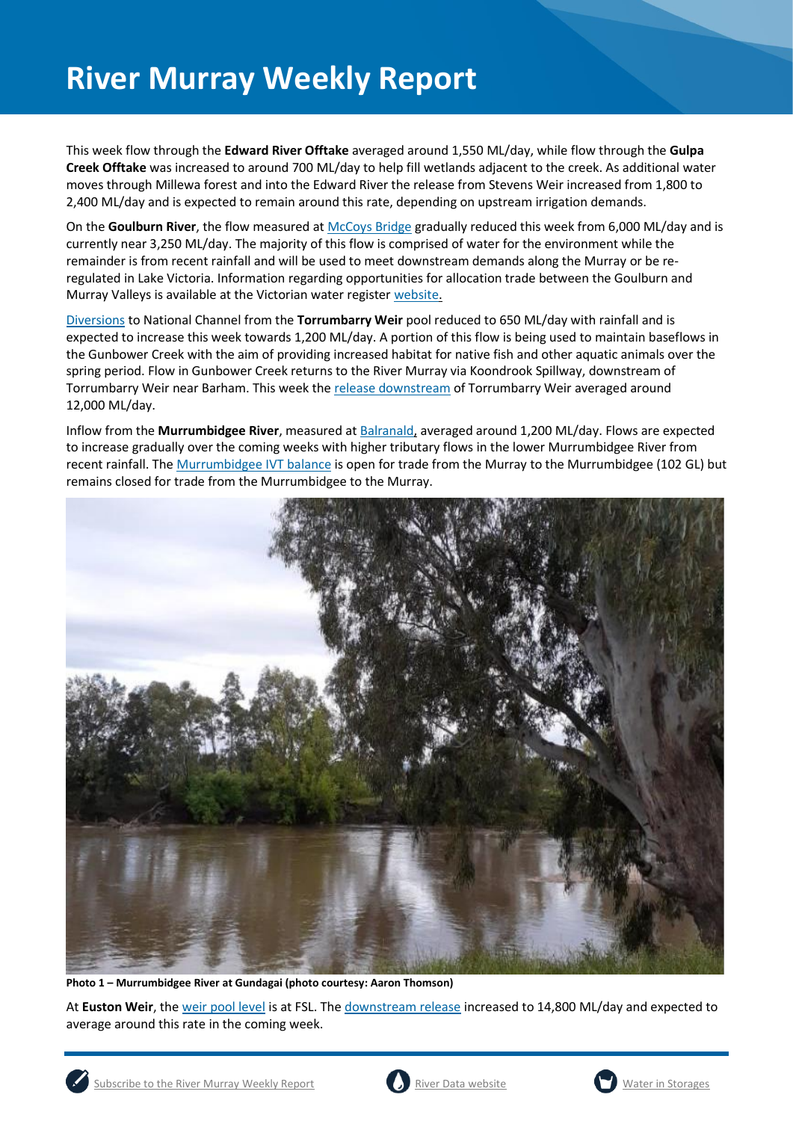This week flow through the **Edward River Offtake** averaged around 1,550 ML/day, while flow through the **Gulpa Creek Offtake** was increased to around 700 ML/day to help fill wetlands adjacent to the creek. As additional water moves through Millewa forest and into the Edward River the release from Stevens Weir increased from 1,800 to 2,400 ML/day and is expected to remain around this rate, depending on upstream irrigation demands.

On the **Goulburn River**, the flow measured at [McCoys Bridge](https://riverdata.mdba.gov.au/mccoy-bridge) gradually reduced this week from 6,000 ML/day and is currently near 3,250 ML/day. The majority of this flow is comprised of water for the environment while the remainder is from recent rainfall and will be used to meet downstream demands along the Murray or be reregulated in Lake Victoria. Information regarding opportunities for allocation trade between the Goulburn and Murray Valleys is available at the Victorian water register [website.](http://waterregister.vic.gov.au/water-trading/allocation-trading#AllocationTradeOpportunities)

[Diversions](https://riverdata.mdba.gov.au/national-channel-ds-torrumbarry-headworks) to National Channel from the **Torrumbarry Weir** pool reduced to 650 ML/day with rainfall and is expected to increase this week towards 1,200 ML/day. A portion of this flow is being used to maintain baseflows in the Gunbower Creek with the aim of providing increased habitat for native fish and other aquatic animals over the spring period. Flow in Gunbower Creek returns to the River Murray via Koondrook Spillway, downstream of Torrumbarry Weir near Barham. This week the [release downstream](https://riverdata.mdba.gov.au/torrumbarry-weir-downstream) of Torrumbarry Weir averaged around 12,000 ML/day.

Inflow from the **Murrumbidgee River**, measured a[t Balranald,](https://riverdata.mdba.gov.au/balranald-weir-downstream) averaged around 1,200 ML/day. Flows are expected to increase gradually over the coming weeks with higher tributary flows in the lower Murrumbidgee River from recent rainfall. Th[e Murrumbidgee IVT balance](https://www.waternsw.com.au/customer-service/ordering-trading-and-pricing/trading/murrumbidgee) is open for trade from the Murray to the Murrumbidgee (102 GL) but remains closed for trade from the Murrumbidgee to the Murray.



**Photo 1 – Murrumbidgee River at Gundagai (photo courtesy: Aaron Thomson)**

At **Euston Weir**, th[e weir pool level](https://riverdata.mdba.gov.au/euston-weir-upstream) is at FSL. Th[e downstream release](https://riverdata.mdba.gov.au/euston-weir-downstream) increased to 14,800 ML/day and expected to average around this rate in the coming week.



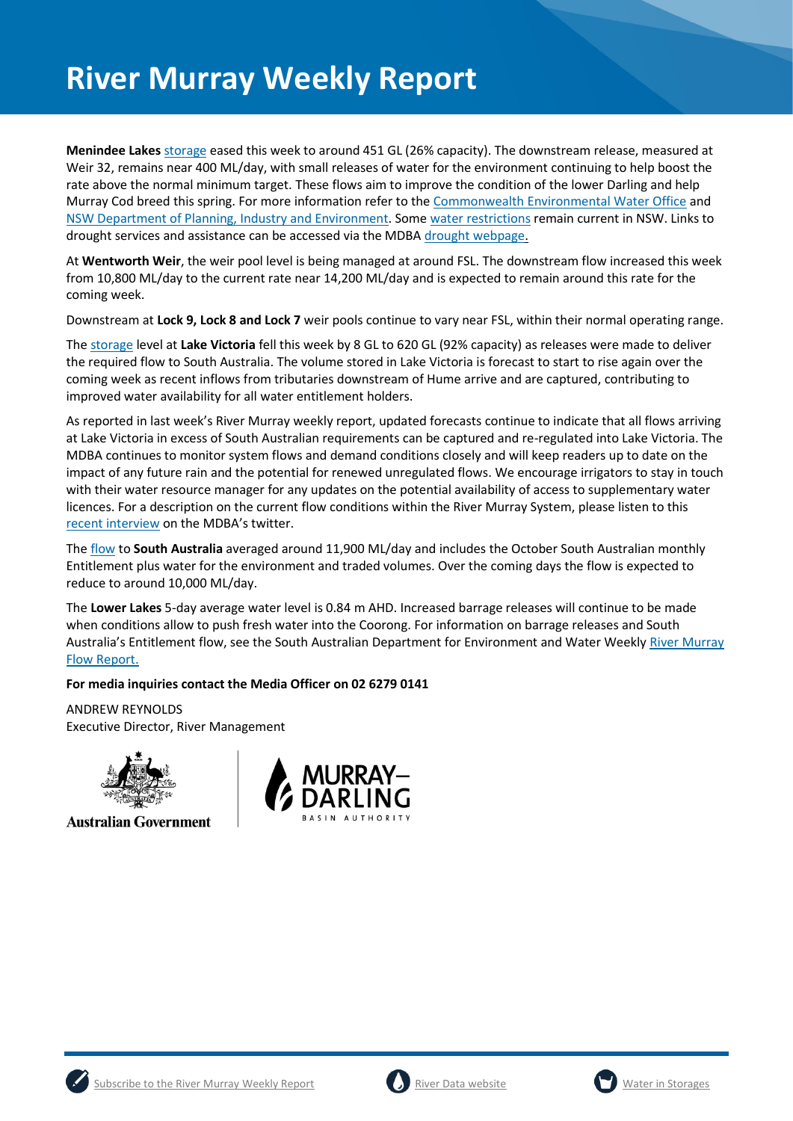**Menindee Lakes** [storage](https://riverdata.mdba.gov.au/menindee-lakes-combined-storage) eased this week to around 451 GL (26% capacity). The downstream release, measured at Weir 32, remains near 400 ML/day, with small releases of water for the environment continuing to help boost the rate above the normal minimum target. These flows aim to improve the condition of the lower Darling and help Murray Cod breed this spring. For more information refer to the [Commonwealth Environmental Water Office](https://www.environment.gov.au/cewo/media-release/lower-darling-baaka-flows-boosted) and [NSW Department of Planning, Industry and Environment.](https://www.environment.nsw.gov.au/news/spring-flow-for-fish-in-the-lower-darling-baaka-river) Some [water restrictions](https://www.industry.nsw.gov.au/water/allocations-availability/temporary-water-restrictions) remain current in NSW. Links to drought services and assistance can be accessed via the MDB[A drought webpage.](https://www.mdba.gov.au/managing-water/drought-murray-darling-basin)

At **Wentworth Weir**, the weir pool level is being managed at around FSL. The downstream flow increased this week from 10,800 ML/day to the current rate near 14,200 ML/day and is expected to remain around this rate for the coming week.

Downstream at **Lock 9, Lock 8 and Lock 7** weir pools continue to vary near FSL, within their normal operating range.

The [storage](https://riverdata.mdba.gov.au/lake-victoria) level at **Lake Victoria** fell this week by 8 GL to 620 GL (92% capacity) as releases were made to deliver the required flow to South Australia. The volume stored in Lake Victoria is forecast to start to rise again over the coming week as recent inflows from tributaries downstream of Hume arrive and are captured, contributing to improved water availability for all water entitlement holders.

As reported in last week's River Murray weekly report, updated forecasts continue to indicate that all flows arriving at Lake Victoria in excess of South Australian requirements can be captured and re-regulated into Lake Victoria. The MDBA continues to monitor system flows and demand conditions closely and will keep readers up to date on the impact of any future rain and the potential for renewed unregulated flows. We encourage irrigators to stay in touch with their water resource manager for any updates on the potential availability of access to supplementary water licences. For a description on the current flow conditions within the River Murray System, please listen to this [recent interview](https://twitter.com/MD_Basin_Auth/status/1321676698920853505) on the MDBA's twitter.

The [flow](https://riverdata.mdba.gov.au/flow-south-australia-calculated) to **South Australia** averaged around 11,900 ML/day and includes the October South Australian monthly Entitlement plus water for the environment and traded volumes. Over the coming days the flow is expected to reduce to around 10,000 ML/day.

The **Lower Lakes** 5-day average water level is 0.84 m AHD. Increased barrage releases will continue to be made when conditions allow to push fresh water into the Coorong. For information on barrage releases and South Australia's Entitlement flow, see the South Australian Department for Environment and Water Weekly [River Murray](https://www.environment.sa.gov.au/topics/river-murray/flow-reports)  [Flow Report.](https://www.environment.sa.gov.au/topics/river-murray/flow-reports)

### **For media inquiries contact the Media Officer on 02 6279 0141**

ANDREW REYNOLDS Executive Director, River Management



**Australian Government** 







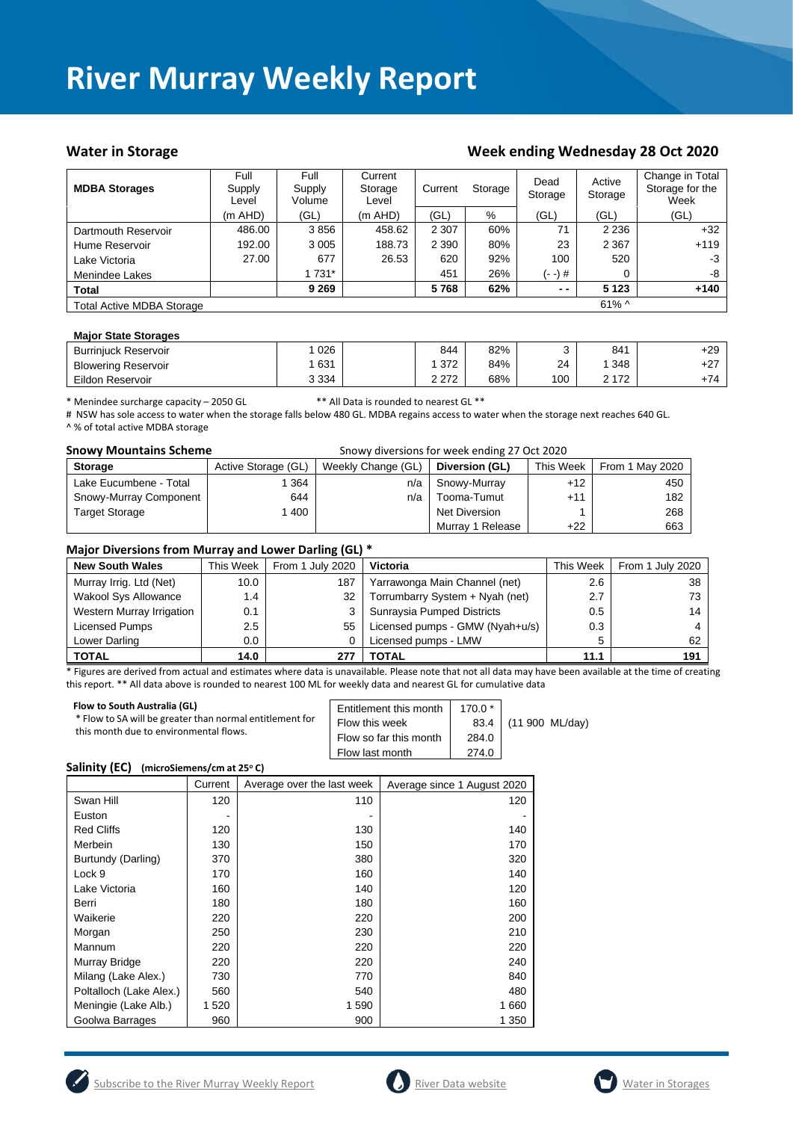#### Water in Storage Week ending Week ending Wednesday 28 Oct 2020

| <b>MDBA Storages</b>             | Full<br>Supply<br>Level | Full<br>Supply<br>Volume | Current<br>Storage<br>Level | Current | Storage | Dead<br>Storage | Active<br>Storage | Change in Total<br>Storage for the<br>Week |
|----------------------------------|-------------------------|--------------------------|-----------------------------|---------|---------|-----------------|-------------------|--------------------------------------------|
|                                  | (m AHD)                 | (GL)                     | $(m$ AHD)                   | (GL)    | %       | (GL)            | (GL)              | (GL)                                       |
| Dartmouth Reservoir              | 486.00                  | 3856                     | 458.62                      | 2 3 0 7 | 60%     | 71              | 2 2 3 6           | $+32$                                      |
| Hume Reservoir                   | 192.00                  | 3 0 0 5                  | 188.73                      | 2 3 9 0 | 80%     | 23              | 2 3 6 7           | $+119$                                     |
| Lake Victoria                    | 27.00                   | 677                      | 26.53                       | 620     | 92%     | 100             | 520               | $-3$                                       |
| Menindee Lakes                   |                         | 1 731*                   |                             | 451     | 26%     | (- -) #         |                   | -8                                         |
| <b>Total</b>                     |                         | 9 2 6 9                  |                             | 5768    | 62%     | $ -$            | 5 1 2 3           | $+140$                                     |
| <b>Total Active MDBA Storage</b> |                         |                          |                             |         |         |                 | $61\%$ ^          |                                            |

#### **Major State Storages**

| <b>Burriniuck Reservoir</b> | 026     | 844     | 82% |     | 841   | +29   |
|-----------------------------|---------|---------|-----|-----|-------|-------|
| <b>Blowering Reservoir</b>  | 631     | 372     | 84% | 24  | 348   | $+27$ |
| Eildon Reservoir            | 3 3 3 4 | 2 2 7 2 | 68% | 100 | 2 172 | +74   |

\* Menindee surcharge capacity – 2050 GL \*\* All Data is rounded to nearest GL \*\*

# NSW has sole access to water when the storage falls below 480 GL. MDBA regains access to water when the storage next reaches 640 GL. ^ % of total active MDBA storage

| <b>Snowy Mountains Scheme</b> | Snowy diversions for week ending 27 Oct 2020 |                    |                  |           |                 |  |
|-------------------------------|----------------------------------------------|--------------------|------------------|-----------|-----------------|--|
| <b>Storage</b>                | Active Storage (GL)                          | Weekly Change (GL) | Diversion (GL)   | This Week | From 1 May 2020 |  |
| Lake Eucumbene - Total        | 364                                          | n/a                | Snowy-Murray     | $+12$     | 450             |  |
| Snowy-Murray Component        | 644                                          | n/a                | Tooma-Tumut      | $+11$     | 182             |  |
| <b>Target Storage</b>         | 1400                                         |                    | Net Diversion    |           | 268             |  |
|                               |                                              |                    | Murray 1 Release | $+22$     | 663             |  |

#### **Major Diversions from Murray and Lower Darling (GL) \***

| <b>New South Wales</b>      | This Week     | From 1 July 2020 | Victoria                        | This Week | From 1 July 2020 |
|-----------------------------|---------------|------------------|---------------------------------|-----------|------------------|
| Murray Irrig. Ltd (Net)     | 10.0          | 187              | Yarrawonga Main Channel (net)   | $2.6\,$   | 38               |
| <b>Wakool Sys Allowance</b> | 1.4           | 32               | Torrumbarry System + Nyah (net) | 2.7       | 73               |
| Western Murray Irrigation   | 0.1           |                  | Sunraysia Pumped Districts      | 0.5       | 14               |
| Licensed Pumps              | $2.5^{\circ}$ | 55               | Licensed pumps - GMW (Nyah+u/s) | 0.3       |                  |
| Lower Darling               | $0.0\,$       |                  | Licensed pumps - LMW            | 5         | 62               |
| <b>TOTAL</b>                | 14.0          | 277              | TOTAL                           | 11.1      | 191              |

\* Figures are derived from actual and estimates where data is unavailable. Please note that not all data may have been available at the time of creating this report. \*\* All data above is rounded to nearest 100 ML for weekly data and nearest GL for cumulative data

| Flow last month | Flow to South Australia (GL)<br>* Flow to SA will be greater than normal entitlement for<br>this month due to environmental flows. | Entitlement this month<br>Flow this week<br>Flow so far this month | $170.0*$<br>284.0<br>274.0 | 83.4 (11 900 ML/day) |
|-----------------|------------------------------------------------------------------------------------------------------------------------------------|--------------------------------------------------------------------|----------------------------|----------------------|
|-----------------|------------------------------------------------------------------------------------------------------------------------------------|--------------------------------------------------------------------|----------------------------|----------------------|

#### **Salinity (EC) (microSiemens/cm at 25<sup>o</sup> C)**

|                         | Current | Average over the last week | Average since 1 August 2020 |
|-------------------------|---------|----------------------------|-----------------------------|
| Swan Hill               | 120     | 110                        | 120                         |
| Euston                  |         |                            |                             |
| <b>Red Cliffs</b>       | 120     | 130                        | 140                         |
| Merbein                 | 130     | 150                        | 170                         |
| Burtundy (Darling)      | 370     | 380                        | 320                         |
| Lock 9                  | 170     | 160                        | 140                         |
| Lake Victoria           | 160     | 140                        | 120                         |
| Berri                   | 180     | 180                        | 160                         |
| Waikerie                | 220     | 220                        | 200                         |
| Morgan                  | 250     | 230                        | 210                         |
| Mannum                  | 220     | 220                        | 220                         |
| Murray Bridge           | 220     | 220                        | 240                         |
| Milang (Lake Alex.)     | 730     | 770                        | 840                         |
| Poltalloch (Lake Alex.) | 560     | 540                        | 480                         |
| Meningie (Lake Alb.)    | 1 520   | 1 590                      | 1 660                       |
| Goolwa Barrages         | 960     | 900                        | 1 350                       |





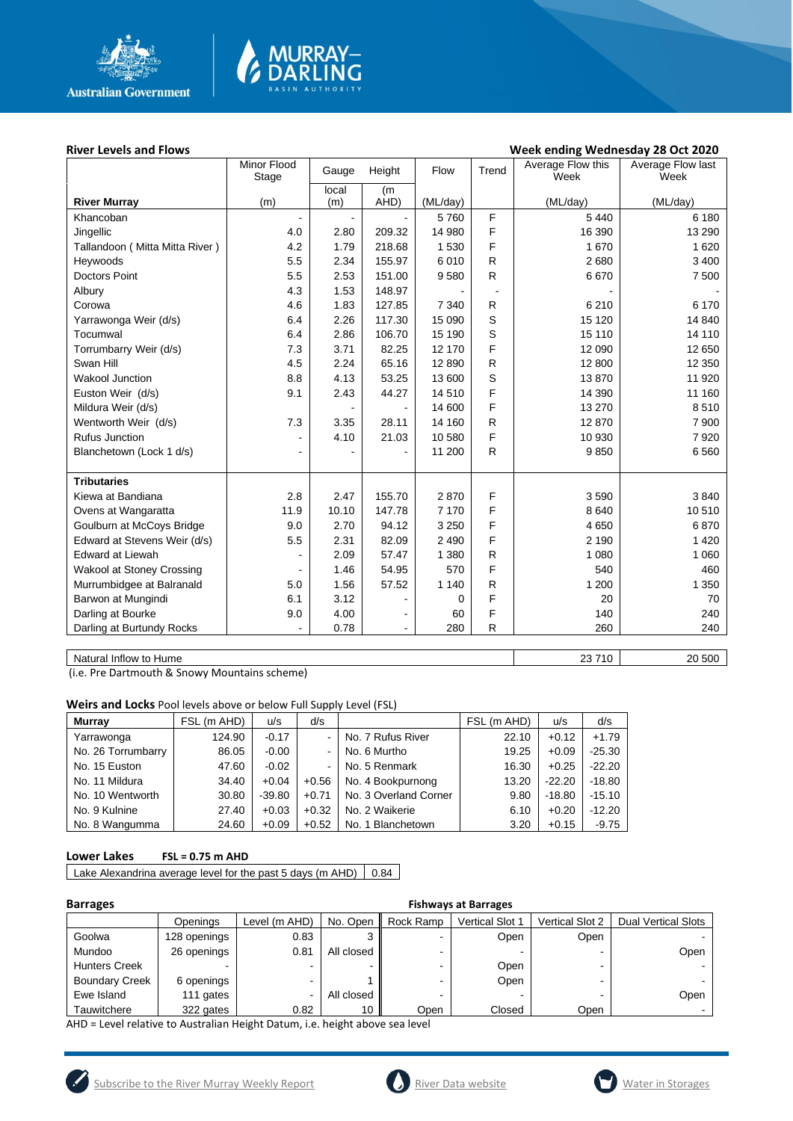

# **MURRAY-<br>DARLING**

#### River Levels and Flows **River Levels and Flows Week ending Wednesday 28 Oct 2020**

|                                | Minor Flood<br>Stage | Gauge | Height         | Flow     | Trend        | Average Flow this<br>Week | Average Flow last<br>Week |
|--------------------------------|----------------------|-------|----------------|----------|--------------|---------------------------|---------------------------|
|                                |                      | local | (m             |          |              |                           |                           |
| <b>River Murray</b>            | (m)                  | (m)   | AHD)           | (ML/day) |              | (ML/day)                  | (ML/day)                  |
| Khancoban                      |                      |       |                | 5760     | F            | 5 4 4 0                   | 6 180                     |
| Jingellic                      | 4.0                  | 2.80  | 209.32         | 14 980   | F            | 16 390                    | 13 290                    |
| Tallandoon (Mitta Mitta River) | 4.2                  | 1.79  | 218.68         | 1 5 3 0  | F            | 1670                      | 1 6 2 0                   |
| Heywoods                       | 5.5                  | 2.34  | 155.97         | 6010     | $\mathsf{R}$ | 2680                      | 3 4 0 0                   |
| <b>Doctors Point</b>           | 5.5                  | 2.53  | 151.00         | 9580     | ${\sf R}$    | 6670                      | 7 500                     |
| Albury                         | 4.3                  | 1.53  | 148.97         |          |              |                           |                           |
| Corowa                         | 4.6                  | 1.83  | 127.85         | 7 3 4 0  | R            | 6 2 1 0                   | 6 170                     |
| Yarrawonga Weir (d/s)          | 6.4                  | 2.26  | 117.30         | 15 090   | S            | 15 120                    | 14 840                    |
| Tocumwal                       | 6.4                  | 2.86  | 106.70         | 15 190   | S            | 15 110                    | 14 110                    |
| Torrumbarry Weir (d/s)         | 7.3                  | 3.71  | 82.25          | 12 170   | F            | 12 090                    | 12 650                    |
| Swan Hill                      | 4.5                  | 2.24  | 65.16          | 12 8 9 0 | $\mathsf{R}$ | 12 800                    | 12 3 50                   |
| <b>Wakool Junction</b>         | 8.8                  | 4.13  | 53.25          | 13 600   | S            | 13870                     | 11 920                    |
| Euston Weir (d/s)              | 9.1                  | 2.43  | 44.27          | 14 510   | F            | 14 390                    | 11 160                    |
| Mildura Weir (d/s)             |                      |       |                | 14 600   | F            | 13 270                    | 8510                      |
| Wentworth Weir (d/s)           | 7.3                  | 3.35  | 28.11          | 14 160   | $\mathsf{R}$ | 12 870                    | 7 9 0 0                   |
| <b>Rufus Junction</b>          |                      | 4.10  | 21.03          | 10 580   | F            | 10 930                    | 7920                      |
| Blanchetown (Lock 1 d/s)       |                      |       |                | 11 200   | R            | 9850                      | 6 5 6 0                   |
|                                |                      |       |                |          |              |                           |                           |
| <b>Tributaries</b>             |                      |       |                |          |              |                           |                           |
| Kiewa at Bandiana              | 2.8                  | 2.47  | 155.70         | 2870     | F            | 3590                      | 3840                      |
| Ovens at Wangaratta            | 11.9                 | 10.10 | 147.78         | 7 1 7 0  | F            | 8640                      | 10 510                    |
| Goulburn at McCoys Bridge      | 9.0                  | 2.70  | 94.12          | 3 2 5 0  | F            | 4 6 5 0                   | 6870                      |
| Edward at Stevens Weir (d/s)   | 5.5                  | 2.31  | 82.09          | 2 4 9 0  | F            | 2 1 9 0                   | 1 4 2 0                   |
| <b>Edward at Liewah</b>        |                      | 2.09  | 57.47          | 1 3 8 0  | $\mathsf{R}$ | 1 0 8 0                   | 1 0 6 0                   |
| Wakool at Stoney Crossing      |                      | 1.46  | 54.95          | 570      | F            | 540                       | 460                       |
| Murrumbidgee at Balranald      | 5.0                  | 1.56  | 57.52          | 1 1 4 0  | R            | 1 200                     | 1 3 5 0                   |
| Barwon at Mungindi             | 6.1                  | 3.12  | ٠              | 0        | F            | 20                        | 70                        |
| Darling at Bourke              | 9.0                  | 4.00  | $\blacksquare$ | 60       | F            | 140                       | 240                       |
| Darling at Burtundy Rocks      |                      | 0.78  | $\blacksquare$ | 280      | R            | 260                       | 240                       |
|                                |                      |       |                |          |              |                           |                           |

Natural Inflow to Hume 20 500

(i.e. Pre Dartmouth & Snowy Mountains scheme)

**Weirs and Locks** Pool levels above or below Full Supply Level (FSL)

| <b>Murray</b>      | FSL (m AHD) | u/s      | d/s            |                       | FSL (m AHD) | u/s      | d/s      |
|--------------------|-------------|----------|----------------|-----------------------|-------------|----------|----------|
| Yarrawonga         | 124.90      | $-0.17$  | $\blacksquare$ | No. 7 Rufus River     | 22.10       | $+0.12$  | $+1.79$  |
| No. 26 Torrumbarry | 86.05       | $-0.00$  | $\blacksquare$ | No. 6 Murtho          | 19.25       | $+0.09$  | $-25.30$ |
| No. 15 Euston      | 47.60       | $-0.02$  | $\blacksquare$ | No. 5 Renmark         | 16.30       | $+0.25$  | $-22.20$ |
| No. 11 Mildura     | 34.40       | $+0.04$  | $+0.56$        | No. 4 Bookpurnong     | 13.20       | $-22.20$ | $-18.80$ |
| No. 10 Wentworth   | 30.80       | $-39.80$ | $+0.71$        | No. 3 Overland Corner | 9.80        | $-18.80$ | $-15.10$ |
| No. 9 Kulnine      | 27.40       | $+0.03$  | $+0.32$        | No. 2 Waikerie        | 6.10        | $+0.20$  | $-12.20$ |
| No. 8 Wangumma     | 24.60       | $+0.09$  | $+0.52$        | No. 1 Blanchetown     | 3.20        | $+0.15$  | $-9.75$  |

#### **Lower Lakes FSL = 0.75 m AHD**

Lake Alexandrina average level for the past 5 days (m AHD)  $\vert$  0.84

| <b>Barrages</b>       |              | <b>Fishways at Barrages</b> |            |           |                        |                        |                            |  |  |
|-----------------------|--------------|-----------------------------|------------|-----------|------------------------|------------------------|----------------------------|--|--|
|                       | Openings     | Level (m AHD)               | No. Open   | Rock Ramp | <b>Vertical Slot 1</b> | <b>Vertical Slot 2</b> | <b>Dual Vertical Slots</b> |  |  |
| Goolwa                | 128 openings | 0.83                        |            |           | Open                   | Open                   |                            |  |  |
| Mundoo                | 26 openings  | 0.81                        | All closed |           |                        |                        | Open                       |  |  |
| <b>Hunters Creek</b>  |              | ۰                           |            |           | Open                   | -                      |                            |  |  |
| <b>Boundary Creek</b> | 6 openings   | ۰                           |            |           | Open                   | -                      |                            |  |  |
| Ewe Island            | 111 gates    | ۰                           | All closed |           |                        |                        | Open                       |  |  |
| Tauwitchere           | 322 gates    | 0.82                        | 10         | Open      | Closed                 | Open                   |                            |  |  |

AHD = Level relative to Australian Height Datum, i.e. height above sea level